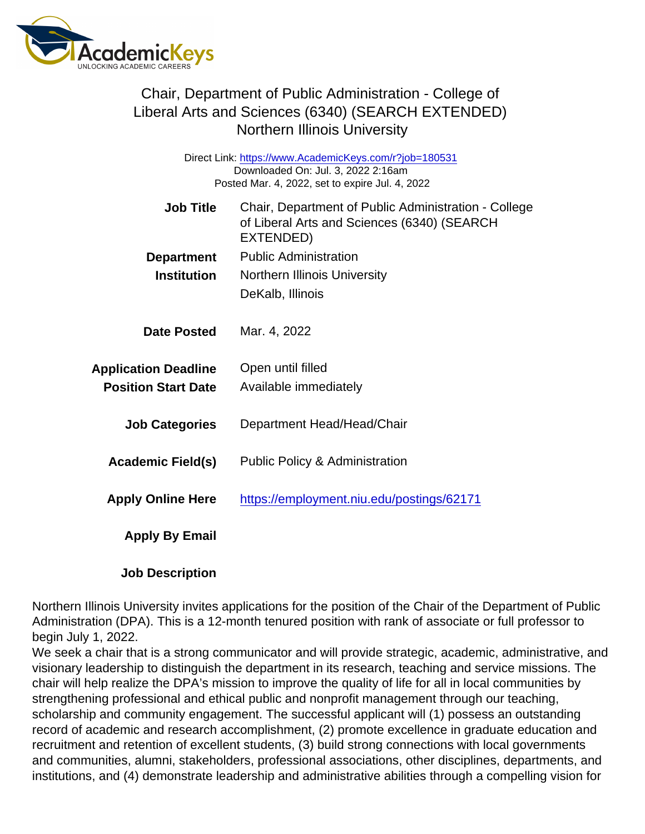### Chair, Department of Public Administration - College of Liberal Arts and Sciences (6340) (SEARCH EXTENDED) Northern Illinois University

Direct Link: <https://www.AcademicKeys.com/r?job=180531> Downloaded On: Jul. 3, 2022 2:16am Posted Mar. 4, 2022, set to expire Jul. 4, 2022

| <b>Job Title</b>            | Chair, Department of Public Administration - College<br>of Liberal Arts and Sciences (6340) (SEARCH<br>EXTENDED) |
|-----------------------------|------------------------------------------------------------------------------------------------------------------|
| Department                  | <b>Public Administration</b>                                                                                     |
| Institution                 | <b>Northern Illinois University</b>                                                                              |
|                             | DeKalb, Illinois                                                                                                 |
| Date Posted                 | Mar. 4, 2022                                                                                                     |
| <b>Application Deadline</b> | Open until filled                                                                                                |
| <b>Position Start Date</b>  | Available immediately                                                                                            |
| <b>Job Categories</b>       | Department Head/Head/Chair                                                                                       |
| Academic Field(s)           | <b>Public Policy &amp; Administration</b>                                                                        |
| <b>Apply Online Here</b>    | https://employment.niu.edu/postings/62171                                                                        |
| Apply By Email              |                                                                                                                  |
| <b>Job Description</b>      |                                                                                                                  |

Northern Illinois University invites applications for the position of the Chair of the Department of Public Administration (DPA). This is a 12-month tenured position with rank of associate or full professor to begin July 1, 2022.

We seek a chair that is a strong communicator and will provide strategic, academic, administrative, and visionary leadership to distinguish the department in its research, teaching and service missions. The chair will help realize the DPA's mission to improve the quality of life for all in local communities by strengthening professional and ethical public and nonprofit management through our teaching, scholarship and community engagement. The successful applicant will (1) possess an outstanding record of academic and research accomplishment, (2) promote excellence in graduate education and recruitment and retention of excellent students, (3) build strong connections with local governments and communities, alumni, stakeholders, professional associations, other disciplines, departments, and institutions, and (4) demonstrate leadership and administrative abilities through a compelling vision for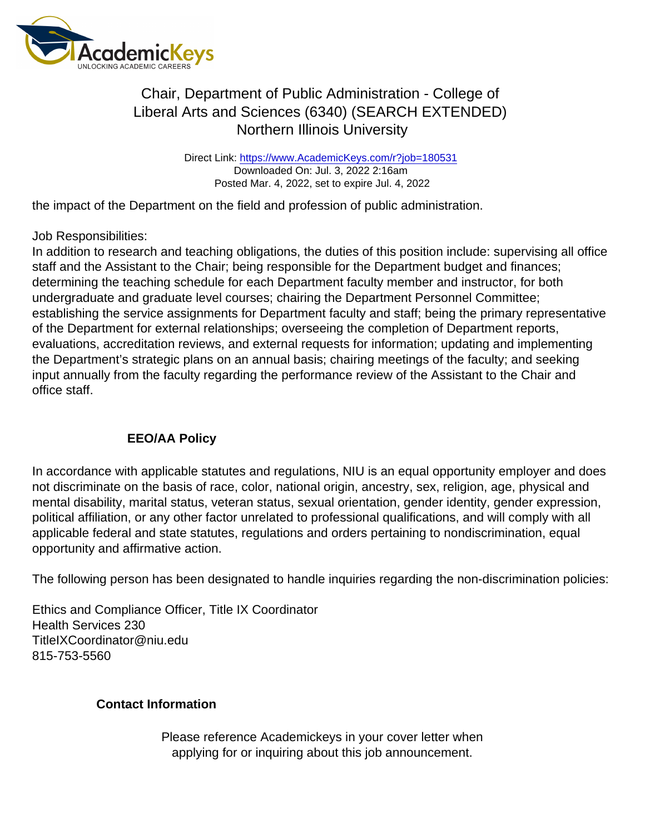# Chair, Department of Public Administration - College of Liberal Arts and Sciences (6340) (SEARCH EXTENDED) Northern Illinois University

Direct Link: <https://www.AcademicKeys.com/r?job=180531> Downloaded On: Jul. 3, 2022 2:16am Posted Mar. 4, 2022, set to expire Jul. 4, 2022

the impact of the Department on the field and profession of public administration.

#### Job Responsibilities:

In addition to research and teaching obligations, the duties of this position include: supervising all office staff and the Assistant to the Chair; being responsible for the Department budget and finances; determining the teaching schedule for each Department faculty member and instructor, for both undergraduate and graduate level courses; chairing the Department Personnel Committee; establishing the service assignments for Department faculty and staff; being the primary representative of the Department for external relationships; overseeing the completion of Department reports, evaluations, accreditation reviews, and external requests for information; updating and implementing the Department's strategic plans on an annual basis; chairing meetings of the faculty; and seeking input annually from the faculty regarding the performance review of the Assistant to the Chair and office staff.

#### EEO/AA Policy

In accordance with applicable statutes and regulations, NIU is an equal opportunity employer and does not discriminate on the basis of race, color, national origin, ancestry, sex, religion, age, physical and mental disability, marital status, veteran status, sexual orientation, gender identity, gender expression, political affiliation, or any other factor unrelated to professional qualifications, and will comply with all applicable federal and state statutes, regulations and orders pertaining to nondiscrimination, equal opportunity and affirmative action.

The following person has been designated to handle inquiries regarding the non-discrimination policies:

Ethics and Compliance Officer, Title IX Coordinator Health Services 230 TitleIXCoordinator@niu.edu 815-753-5560

Contact Information

Please reference Academickeys in your cover letter when applying for or inquiring about this job announcement.